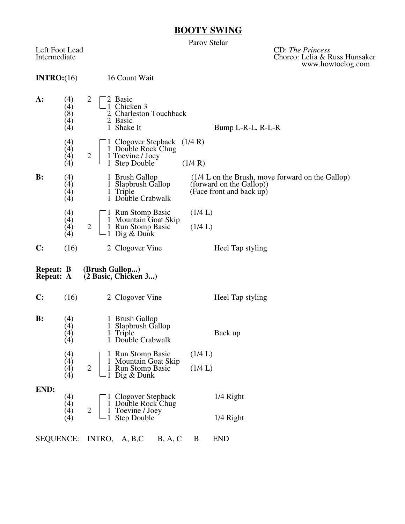## **BOOTY SWING**

Parov Stelar

Left Foot Lead CD: *The Princess* Intermediate Choreo: Lelia & Russ Hunsaker www.howtoclog.com

| INTRO: (16)                          |                                                      |                |                              | 16 Count Wait                                                                          |         |                                                                                                             |  |  |  |
|--------------------------------------|------------------------------------------------------|----------------|------------------------------|----------------------------------------------------------------------------------------|---------|-------------------------------------------------------------------------------------------------------------|--|--|--|
| A:                                   | (4)<br>(4)<br>(8)<br>$\left(4\right)$<br>(4)         | 2              | $\mathbf{1}$                 | 2 Basic<br>Chicken 3<br>2 Charleston Touchback<br>2 Basic<br>Shake It                  |         | Bump L-R-L, R-L-R                                                                                           |  |  |  |
|                                      | (4)<br>(4)<br>(4)<br>(4)                             | $\overline{2}$ |                              | Clogover Stepback $(1/4 R)$<br>1 Double Rock Chug<br>1 Toevine / Joey<br>1 Step Double | (1/4 R) |                                                                                                             |  |  |  |
| $\mathbf{B}$ :                       | (4)<br>(4)<br>(4)<br>(4)                             |                |                              | 1 Brush Gallop<br>1 Slapbrush Gallop<br>1 Triple<br>1 Double Crabwalk                  |         | $(1/4)$ L on the Brush, move forward on the Gallop)<br>(forward on the Gallop))<br>(Face front and back up) |  |  |  |
|                                      | (4)<br>(4)<br>(4)<br>(4)                             | $\overline{2}$ |                              | 1 Run Stomp Basic<br>1 Mountain Goat Skip<br>1 Run Stomp Basic<br>1 Dig & Dunk         |         | (1/4 L)<br>(1/4 L)                                                                                          |  |  |  |
| C:                                   | (16)                                                 |                |                              | 2 Clogover Vine                                                                        |         | Heel Tap styling                                                                                            |  |  |  |
|                                      |                                                      |                |                              |                                                                                        |         |                                                                                                             |  |  |  |
| <b>Repeat: B</b><br><b>Repeat: A</b> |                                                      |                |                              | (Brush Gallop)<br>(2 Basic, Chicken 3)                                                 |         |                                                                                                             |  |  |  |
| $\mathbf{C}$ :                       | (16)                                                 |                |                              | 2 Clogover Vine                                                                        |         | Heel Tap styling                                                                                            |  |  |  |
| $\mathbf{B}$ :                       | (4)<br>$\left( 4\right)$<br>$\left( 4\right)$<br>(4) |                | $\mathbf{1}$<br>$\mathbf{1}$ | 1 Brush Gallop<br>Slapbrush Gallop<br>Triple<br>Double Crabwalk                        |         | Back up                                                                                                     |  |  |  |
|                                      | (4)<br>$\left( 4\right)$                             |                |                              | <b>Run Stomp Basic</b><br>1 Mountain Goat Skip                                         | (1/4 L) |                                                                                                             |  |  |  |
|                                      | (4)<br>(4)                                           | $\overline{2}$ |                              | Run Stomp Basic<br>$\Box$ Dig & Dunk                                                   | (1/4 L) |                                                                                                             |  |  |  |
| END:                                 | (4)<br>(4)                                           |                |                              |                                                                                        |         | 1/4 Right                                                                                                   |  |  |  |
|                                      | (4)                                                  | $\mathbf{2}$   |                              | Clogover Stepback<br>Double Rock Chug<br>Toevine / Joey<br>Step Double                 |         | 1/4 Right                                                                                                   |  |  |  |